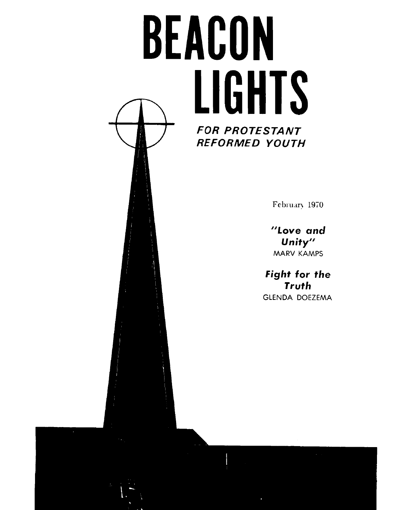# **BEACON**  a **LIGHTS FOR PROTESTANT REFORMED YOUTH**

February 1970

**"Love and Unity"**  MARV **KAMPS** 

**Fight for the Truth**  GLENDA DOEZEMA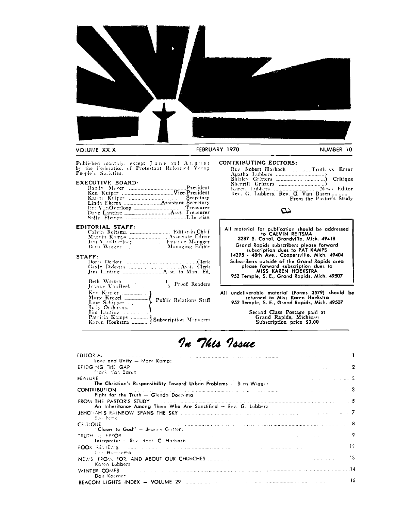

#### VOLUME XXIX

#### FEBRUARY 1970

NUMBER 10

Published monthly, except June and August<br>by the Federation of Protestant Reformed Young<br>People's Societies.

#### **EXECUTIVE BOARD:**

#### $STATE:$

| Ken Kuiter<br>Mary Krezel<br>Jane Schirper (1999) Public Relations Staff<br>Judy Ondersma |  |
|-------------------------------------------------------------------------------------------|--|
|                                                                                           |  |

#### **CONTRIBUTING EDITORS:**

| Rev. Robert Harbach Truth vs. Error |                         |
|-------------------------------------|-------------------------|
|                                     |                         |
|                                     |                         |
|                                     |                         |
| Rev. G. Lubbers, Rev. G. Van Baren  | From the Pastor's Study |

#### $\boldsymbol{\omega}$

All material for publication should be addressed<br>to CALVIN REITSMA<br>3287 S. Canal, Grandville, Mich. 49418 Grand Rapids subscribers please forward<br>subscription dues to PAT KAMPS<br>14395 - 48th Ave., Coopersville, Mich. 49404 Subscribers outside of the Grand Rapids area<br>please forward subscription dues to<br>MISS KAREN HOEKSTRA 952 Temple, S. E., Grand Rapids, Mich. 49507

All undeliverable material (Forms 3579) should be<br>returned to Miss Karen Hoekstra<br>952 Temple, S. E., Grand Rapids, Mich. 49507

Second Class Postage paid at<br>Grand Rapids, Michigan<br>Subscription price \$3.00

## In This Issue

 $\sim$   $\sim$ 

| <b>EDITORIAL</b><br>and the community of the contract of the contract memorial contract of the community of the contract of the co                                                                                                  |   |
|-------------------------------------------------------------------------------------------------------------------------------------------------------------------------------------------------------------------------------------|---|
| Love and Unity - Mary Kamps                                                                                                                                                                                                         |   |
| BRIDGING THE GAP (1999) (1999) (1999) (1999) (1999) (1999) (1999) (1999) (1999) (1999) (1999) (1999)                                                                                                                                | 7 |
| Frank Van Baren                                                                                                                                                                                                                     |   |
| $\sim$ 1000 $\sim$ 2000 mag gas and a good point magnetic contract the component magnetic contract of the $2$<br>FEATURE                                                                                                            |   |
| The Christian's Responsibility Toward Urban Problems $-$ Bern Wigger                                                                                                                                                                |   |
| . <u>See paragraphs of the minimum minimum and the community of the community of the second contract of</u><br><b>CONTRIBUTION</b>                                                                                                  |   |
| Fight for the Truth - Glenda Doezema                                                                                                                                                                                                |   |
| FROM THE PASTOR'S STUDY <b>Example 2018</b> 2019 12:00:00 12:00:00 12:00:00 12:00:00 12:00:00 12:00:00 12:00:00 12:00:00 12:00:00 12:00:00 12:00:00 12:00:00 12:00:00 12:00:00 12:00:00 12:00:00 12:00:00 12:00:00 12:00:00 12:00:0 |   |
| An Inheritance Among Them Who Are Sanctified - Rev. G. Lubbers                                                                                                                                                                      |   |
|                                                                                                                                                                                                                                     |   |
| Sue Porte                                                                                                                                                                                                                           |   |
| 8 - The material construction of the construction of the construction of the construction of the construction of $\sim$<br><b>CRITIQUE</b>                                                                                          |   |
| "Closer to God" - Jeanne Gritters                                                                                                                                                                                                   |   |
| TRUTH AN ERROR (1999) (1999) (1999) (1999) (1999) (1999) (1999) (1999) (1999) (1999) (1999) (1999) (1999)                                                                                                                           | ۰ |
| Interpreter - Rev. Robt. C. Horbach                                                                                                                                                                                                 |   |
| BOOK REVIEWS The company of the company and the contract of the company of the contract of the contract $12$                                                                                                                        |   |
| io cillitaksema                                                                                                                                                                                                                     |   |
|                                                                                                                                                                                                                                     |   |
| Koren Lubbers                                                                                                                                                                                                                       |   |
|                                                                                                                                                                                                                                     |   |
| Dan Koerner                                                                                                                                                                                                                         |   |
|                                                                                                                                                                                                                                     |   |
|                                                                                                                                                                                                                                     |   |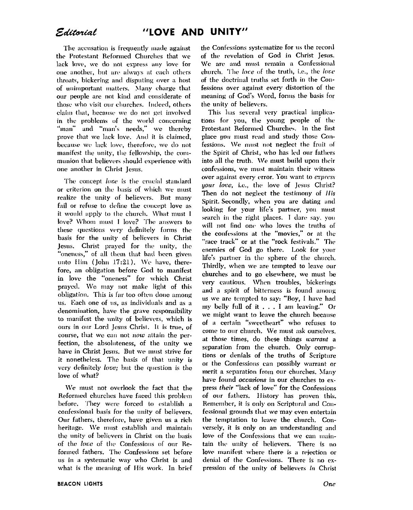The accusation is frequently made against the Protestant Reformed Churches that we lack love, we do not express any love for one another, but are always at each others throats, bickering and disputing over a host of unimportant matters. Many charge that our people are not kind and considerate of those who visit our churches. Indeed, others claim that, because we do not get involved in the problems of the world concerning "man" and "man's needs," we thereby prove that we lack love. And it is claimed, because we lack love, therefore, we do not manifest the unity, the fellowship, the communion that believers should experience with one another in Christ Jesus.

The concept love is the crucial standard or criterion on the basis of which we must realize the unity of believers. But many fail or refuse to define the concept love as it would apply to the church. What must I love? Whom must I love? The answers to these questions very definitely forms the basis for the unity of believers in Christ Jesus. Christ prayed for the unity, the "oneness," of all them that had been given unto Him (John 17:21). We have, therefore, an obligation before God to manifest in love the "oneness" for which Christ prayed. We may not make light of this obligation. This is far too often done among us. Each one of us, as individuals and as a denomination, have the grave responsibility to manifest the unity of believers, which is ours in our Lord Jesus Christ. It is true, of course, that we can not now attain the perfection, the absoluteness, of the unity we have in Christ Jesus. But we must strive for it nonetheless. The basis of that unity is very definitely *love*; but the question is the love of what?

We must not overlook the fact that the Reformed churches have faced this problem before. They were forced to establish a confessional basis for the unity of believers. Our fathers, therefore, have given us a rich heritage. We must establish and maintain the unity of believers in Christ on the basis of the love of the Confessions of our Reformed fathers. The Confessions set before us in a systematic way who Christ is and what is the meaning of His work. In brief the Confessions systematize for us the record of the revelation of God in Christ Jesus. We are and must remain a Confessional church. The love of the truth, i.e., the love of the doctrinal truths set forth in the Confessions over against every distortion of the meaning of God's Word, forms the basis for the unity of believers.

This has several very practical implications for you, the young people of the Protestant Reformed Churches. In the first place you must read and study those Confessions. We must not neglect the fruit of the Spirit of Christ, who has led our fathers into all the truth. We must build upon their confessions, we must maintain their witness over against every error. You want to express your love, i.e., the love of Jesus Christ? Then do not neglect the testimony of His Spirit Secondly, when you are dating and looking for your life's partner, you must search in the right places. I dare say, you will not find one who loves the truths of the confessions at the "movies," or at the "race track" or at the "rock festivals." The enemies of God go there. Look for your life's partner in the sphere of the church, Thirdly, when we are tempted to leave our churches and to go elsewhere, we must be very cautious. When troubles, bickerings and a spirit of bitterness is found among us we are tempted to say: "Boy, I have had my belly full of it . . . I am leaving." Or we might want to leave the church because of a certain "sweetheart" who refuses to come to our church. We must ask ourselves, at those times, do these things warrant a separation from the church. Only corruptions or denials of the truths of Scripture or the Confessions can possibly warrant or merit a separation from our churches. Many have found *occasions* in our churches to express their "lack of love" for the Confessions of our fathers. History has proven this, Remember, it is only on Scriptural and Confessional grounds that we may even entertain the temptation to leave the church. Conversely, it is only on an understanding and love of the Confessions that we can maintain the unity of believers. There is no love manifest where there is a rejection or denial of the Confessions. There is no expression of the unity of believers in Christ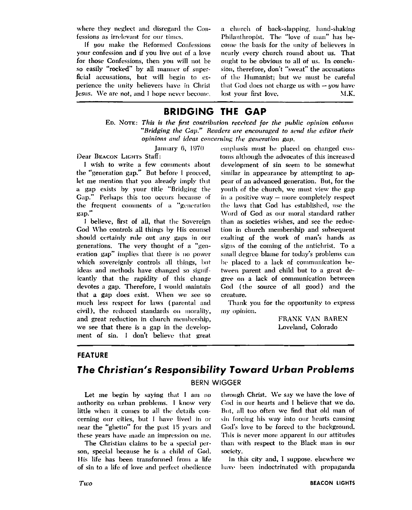where they neglect and disregard the Confessions as irrelevant for our times,

If you make the Reformed Confessions your confession and if you live out of a love for those Confessions, then you will not be so easily "rocked" by all manner of superficial accusations, but will begin to experience the unity believers have in Christ Iesus. We are not, and I hope never become.

a church of back-slapping, hand-shaking Philanthropist. The "love of man" has become the basis for the unity of believers in nearly every church round about us. That ought to be obvious to all of us. In conclusion, therefore, don't "sweat" the accusations of the Humanist; but we must be careful that God does not charge us with  $-$  *you* have lost your first love.  $M.K.$ 

#### **BRIDGING THE GAP**

ED. NOTE: This is the first contribution received for the public opinion column "Bridging the Gap." Readers are encouraged to send the editor their opinions and ideas concerning the generation gap.

January 6, 1970

Dear BEACON LIGHTS Staff:

I wish to write a few comments about the "generation gap." But before I proceed, let me mention that you already imply that a gap exists by your title "Bridging the Gap." Perhaps this too occurs because of the frequent comments of a "generation gap."

I believe, first of all, that the Sovereign God Who controls all things by His counsel should certainly rule out any gaps in our generations. The very thought of a "generation gap" implies that there is no power which sovereignly controls all things, but ideas and methods have changed so significantly that the rapidity of this change devotes a gap. Therefore, I would maintain that a gap does exist. When we see so much less respect for laws (parental and civil), the reduced standards on morality, and great reduction in church membership, we see that there is a gap in the development of sin. I don't believe that great

emphasis must be placed on changed customs although the advocates of this increased development of sin seem to be somewhat similar in appearance by attempting to appear of an advanced generation. But, for the youth of the church, we must view the gap in a positive  $way$  – more completely respect the laws that God has established, use the Word of God as our moral standard rather than as societies wishes, and see the reduction in church membership and subsequent exalting of the work of man's hands as signs of the coming of the antichrist. To a small degree blame for today's problems can be placed to a lack of communication between parent and child but to a great degree on a lack of communication between God (the source of all good) and the creature.

Thank you for the opportunity to express my opinion.

> FRANK VAN BAREN Loveland, Colorado

#### **FEATURE**

## The Christian's Responsibility Toward Urban Problems

**BERN WIGGER** 

Let me begin by saying that I am no authority on urban problems. I know very little when it comes to all the details concerning our cities, but I have lived in or near the "ghetto" for the past 15 years and these vears have made an impression on me.

The Christian claims to be a special person, special because he is a child of God. His life has been transformed from a life of sin to a life of love and perfect obedience through Christ. We say we have the love of God in our hearts and I believe that we do. But, all too often we find that old man of sin forcing his way into our hearts causing God's love to be forced to the background. This is never more apparent in our attitudes than with respect to the Black man in our society.

In this city and, I suppose, elsewhere we have been indoctrinated with propaganda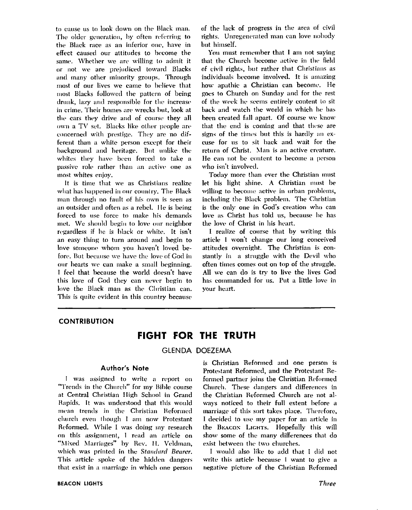to cause us to look down on the Black man. The older generation, by often referring to the Black race as an inferior one, have in effect caused our attitudes to become the same. Whether we are willing to admit it or not we are prejudiced toward Blacks and many other minority groups. Through most of our lives we came to believe that most Blacks followed the pattern of being drunk, lazy and responsible for the increase in crime. Their homes are wrecks but, look at the cars they drive and of course they all own a TV set. Blacks like other people are concerned with prestige. They are no different than a white person except for their background and heritage. But unlike the whites they have been forced to take a passive role rather than an active one as most whites enjoy.

It is time that we as Christians realize what has happened in our country. The Black man through no fault of his own is seen as an outsider and often as a rebel. He is being forced to use force to make his demands met. We should begin to love our neighbor regardless if he is black or white. It isn't an easy thing to turn around and begin to love someone whom you haven't loved before. But because we have the love of God in our hearts we can make a small beginning. I feel that because the world doesn't have this love of God they can never begin to love the Black man as the Christian can. This is quite evident in this country because of the lack of progress in the area of civil rights. Unregenerated man can love nobody but himself.

You must remember that I am not saving that the Church become active in the field of civil rights, but rather that Christians as individuals become involved. It is amazing how apathic a Christian can become. He goes to Church on Sunday and for the rest of the week he seems entirely content to sit back and watch the world in which he has been created fall apart. Of course we know that the end is coming and that these are signs of the times but this is hardly an excuse for us to sit back and wait for the return of Christ. Man is an active creature. He can not be content to become a person who isn't involved.

Today more than ever the Christian must let his light shine. A Christian must be willing to become active in urban problems. including the Black problem. The Christian is the only one in God's creation who can love as Christ has told us, because he has the love of Christ in his heart,

I realize of course that by writing this article I won't change our long conceived attitudes overnight. The Christian is constantly in a struggle with the Devil who often times comes out on top of the struggle. All we can do is try to live the lives God has commanded for us. Put a little love in your heart.

#### **CONTRIBUTION**

#### FIGHT FOR THE TRUTH

#### **GLENDA DOEZEMA**

#### **Author's Note**

I was assigned to write a report on "Trends in the Church" for my Bible course at Central Christian High School in Grand Rapids. It was understood that this would mean trends in the Christian Reformed church even though I am now Protestant Reformed. While I was doing my research on this assignment. I read an article on "Mixed Marriages" by Rev. H. Veldman, which was printed in the Standard Bearer. This article spoke of the hidden dangers that exist in a marriage in which one person is Christian Reformed and one person is Protestant Reformed, and the Protestant Reformed partner joins the Christian Reformed Church. These dangers and differences in the Christian Reformed Church are not always noticed to their full extent before a marriage of this sort takes place. Therefore, I decided to use my paper for an article in the BEACON LIGHTS. Hopefully this will show some of the many differences that do exist between the two churches.

I would also like to add that I did not write this article because I want to give a negative picture of the Christian Reformed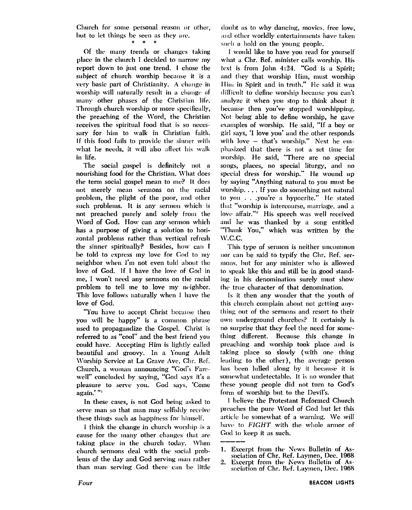Church for some personal reason or other. but to let things be seen as they are.

#### $\bullet$

Of the many trends or changes taking place in the church I decided to narrow my report down to just one trend. I chose the subject of church worship because it is a very basic part of Christianity. A change in worship will naturally result in a change of many other phases of the Christian life. Through church worship or more specifically, the preaching of the Word, the Christian receives the spiritual food that is so necessary for him to walk in Christian faith. If this food fails to provide the sinner with what he needs, it will also affect his walk in life.

The social gospel is definitely not a nourishing food for the Christian. What does the term social gospel mean to me? It does not merely mean sermons on the racial problem, the plight of the poor, and other such problems. It is any sermon which is not preached purely and solely from the Word of God. How can any sermon which has a purpose of giving a solution to horizontal problems rather than vertical refresh the sinner spiritually? Besides, how can I be told to express my love for God to my neighbor when I'm not even told about the love of God. If I have the love of God in me, I won't need any sermons on the racial problem to tell me to love my neighbor. This love follows naturally when I have the love of God.

"You have to accept Christ because then you will be happy" is a common phrase used to propagandize the Gospel. Christ is referred to as "cool" and the best friend you could have. Accepting Him is lightly called beautiful and groovy. In a Young Adult Worship Service at La Grave Ave, Chr. Ref. Church, a woman announcing "God's Farewell" concluded by saving, "God says it's a pleasure to serve you. God says, 'Come again."

In these cases, is not God being asked to serve man so that man may selfishly receive these things such as happiness for himself.

I think the change in church worship is a cause for the many other changes that are taking place in the church today. When church sermons deal with the social problems of the day and God serving man rather than man serving God there can be little doubt as to why dancing, movies, free love, and other worldly entertainments have taken such a hold on the young people.

I would like to have you read for yourself what a Chr. Ref. minister calls worship. His text is from John 4:24. "God is a Spirit; and they that worship Him, must worship Him in Spirit and in truth," He said it was difficult to define worship because you can't analyze it when you stop to think about it because then you've stopped worshipping. Not being able to define worship, he gave examples of worship. He said, "If a boy or girl says, 'I love you' and the other responds with love - that's worship." Next he emphasized that there is not a set time for worship. He said, "There are no special songs, places, no special liturgy, and no special dress for worship." He wound up by saying "Anything natural to you must be worship.... If you do something not natural to you . . . you're a hypocrite." He stated that "worship is intercourse, marriage, and a love affair."<sup>2</sup> His speech was well received and he was thanked by a song entitled "Thank You," which was written by the  $W.C.C.$ 

This type of sermon is neither uncommon nor can be said to typify the Chr. Ref. sermons, but for any minister who is allowed to speak like this and still be in good standing in his denomination surely must show the true character of that denomination,

Is it then any wonder that the youth of this church complain about not getting anything out of the sermons and resort to their own underground churches? It certainly is no surprise that they feel the need for something different. Because this change in preaching and worship took place and is taking place so slowly (with one thing leading to the other), the average person has been lulled along by it because it is somewhat undetectable. It is no wonder that these young people did not turn to God's form of worship but to the Devil's.

I believe the Protestant Reformed Church preaches the pure Word of God but let this article be somewhat of a warning. We will have to FIGHT with the whole armor of God to keep it as such.

<sup>1.</sup> Excerpt from the News Bulletin of Association of Chr. Ref. Lavmen, Dec. 1968

 $\overline{2}$ . Excerpt from the News Bulletin of Association of Chr. Ref. Laymen, Dec. 1968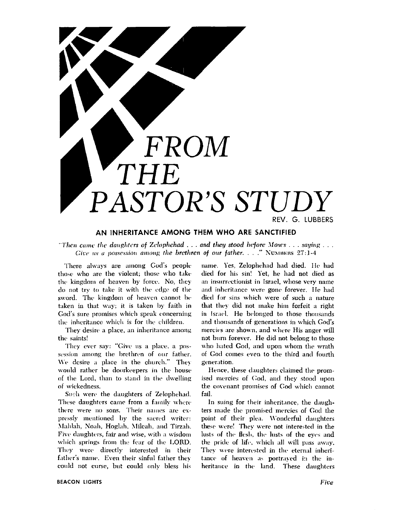

#### AN INHERITANCE AMONG THEM WHO ARE SANCTIFIED

"Then came the daughters of Zelophehad  $\ldots$  and they stood before Moses  $\ldots$  saying  $\ldots$ Give us a possession among the brethren of our father. . . . " NUMBERS 27:1-4

There always are among God's people those who are the violent; those who take the kingdom of heaven by force. No, they do not try to take it with the edge of the sword. The kingdom of heaven cannot be taken in that way; it is taken by faith in God's sure promises which speak concerning the inheritance which is for the children.

They desire a place, an inheritance among the saints!

They ever say: "Give us a place, a possession among the brethren of our father. We desire a place in the church." They would rather be doorkeepers in the house of the Lord, than to stand in the dwelling of wickedness.

Such were the daughters of Zelophehad. These daughters came from a family where there were no sons. Their names are expressly mentioned by the sacred writer: Mahlah, Noah, Hoglah, Mileah, and Tirzah, Five daughters, fair and wise, with a wisdom which springs from the fear of the LORD. They were directly interested in their father's name. Even their sinful father they could not curse, but could only bless his name. Yes, Zelophehad had died. He had died for his sin! Yet, he had not died as an insurrectionist in Israel, whose very name and inheritance were gone forever. He had died for sins which were of such a nature that they did not make him forfeit a right in Israel. He belonged to those thousands and thousands of generations in which God's mercies are shown, and where His anger will not burn forever. He did not belong to those who hated God, and upon whom the wrath of God comes even to the third and fourth generation.

Hence, these daughters claimed the promised mercies of God, and they stood upon the covenant promises of God which cannot fail.

In suing for their inheritance, the daughters made the promised mercies of God the point of their plea. Wonderful daughters these were! They were not interested in the lusts of the flesh, the lusts of the eyes and the pride of life, which all will pass away. They were interested in the eternal inheritance of heaven as portrayed in the inheritance in the land. These daughters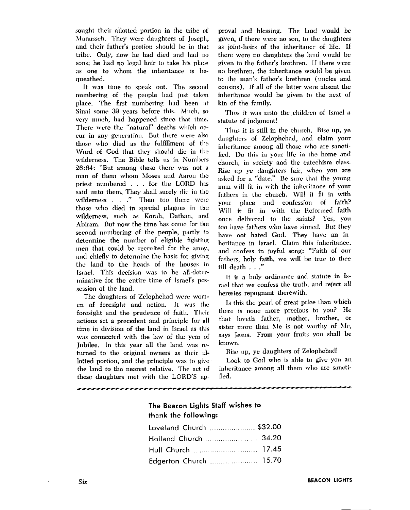sought their allotted portion in the tribe of Manasseh. They were daughters of Joseph, and their father's portion should be in that tribe. Only, now he had died and had no sons; he had no legal heir to take his place as one to wvhoni the inheritance is **hc**queathed.

It was time to speak out. The second numbering of the people had just taken place. The first numbering had been at Sinai some 39 years before this. Much, so very much, had happened since that thne. There were the "natural" deaths which occur in any generation. But there were also those who died as the fulfillment of the Word of God that they should die in the wilderness. The Bible tells us in Numbers 26:64: "But among these there was not a man of them whom Moses and Aaron the priest numbered ... for the LORD has said unto them, They shall surely dic in the wilderness . . ." Then too there were those who died in special plagues in the wilderness, such as Korah, Dathan, and Abiram. But now the time has come for the second numbering of the people, partly to determine the number of eligible fighting men that could be recruited for the army, and chiefly to determine the basis for giving the land to the heads of the houses in Israel. This decision was to be all-determinative for the entire time of Israel's possession of the land.

The daughters of Zelophehad were women of foresight and action. It was the foresight and the prudence of faith. Their actions set a precedent and principle for all time in division of the land in Israel as this was connected with the law of the year of Jubilee. In this year all the land was returned to the original owners as their allotted portion, and the principle was to give the land to the nearest relative. The act of these daughters met with the LORD'S ap-

proval and blessing. The land would be given, **if** there were no son, **LO** he daughters as joint-heirs of the inheritance of life. If there were no daughters the land would be given to the father's brethren. If there were no brethren, the inheritance would be given to the man's father's brethren (uncles and consins). If all of the latter were absent the inheritance would be given to the next of kin of the family.

Thus it was unto the children of Israel a statute of judgment!

Thus it is still in the church. Rise up, ye daughters of Zelophehad, and claim your inheritance among all those who are sanctified. Do this in your life in the home anti church, in society and the catechism class. Rise up ye daughters fair, when you are asked for a "date." Be sure that the young man will fit in with the inheritance of your fathers in thc church. Will it fit in with your place and confession of faith? Will it fit in with the Reformed faith once delivered to the saints? Yes, you too have fathers who have sinned. But they have not hated God. They have an inheritance in Israel. Claim this inheritance. and confess in joyful song: "Faith of our fathers, holy faith, we will be true to thee till death .. ."

It is a holy ordinance and statute in Israel that we confess the truth, and reject all heresies repugnant therewith.

Is this the pearl of great price than which there is none more precious to you? He that lovcth father, mother, brother, or sister more than Me is not worthy of Me, says Jesus. From your fruits you shall be know\m.

Rise up, ye daughters of Zelophehad!

Look to God who is able to give you an inheritance among all them who are sanctified.

#### **The Beacon Lights Staff wishes to th3nk the following:**

| Loveland Church \$32.00 |  |
|-------------------------|--|
| Holland Church  34.20   |  |
| Hull Church   17.45     |  |
| Edgerton Church  15.70  |  |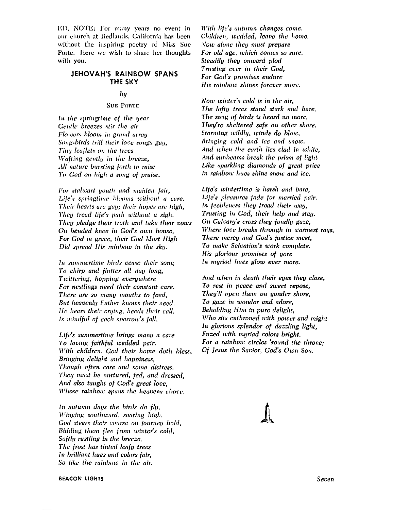ED. NOTE: For many years no event in our church at Redlands, California has been without the inspiring poetry of Miss Sue Porte. Here we wish to share her thoughts with you.

#### **JEHOVAH'S RAINBOW SPANS** THE SKY

#### $_{by}$

#### **SUE PORTE**

In the springtime of the year Gentle breezes stir the air Flowers bloom in grand array Song-birds trill their love songs gay, Tiny leaflets on the trees Wafting gently in the breeze, All nature bursting forth to raise To God on high a song of praise.

For stalwart youth and maiden fair, Life's springtime blooms without a care. Their hearts are gay; their hopes are high, They tread life's path without a sigh, They pledge their troth and take their vows On bended knee in God's own house, For God in grace, their God Most High Did spread II is rainbow in the sky.

In summertime birds cease their song To chirp and flutter all day long, Twittering, hopping everywhere For nestlings need their constant care. There are so many mouths to feed, But heavenly Father knows their need. He hears their crying, heeds their call, Is mindful of each sparrow's fall.

Life's summertime brings many a care To loving faithful wedded pair. With children. God their home doth bless. Bringing delight and happiness. Though often care and some distress. They must be nurtured, fed, and dressed, And also taught of God's great love, Whose rainbow spans the heavens above.

In autumn days the birds do fly, Winging southward, soaring high. God steers their course on journey bold, Bidding them flee from winter's cold, Softly rustling in the breeze, The frost has tinted leafy trees In brilliant hues and colors fair, So like the rainbow in the air.

With life's autumn changes come, Children, wedded, leave the home. Now alone they must prepare For old age, which comes so sure. Steadily they onward plod Trusting ever in their God, For God's promises endure His rainbow shines forever more.

Now winter's cold is in the air. The lofty trees stand stark and bare. The song of birds is heard no more, They're sheltered safe on other shore. Storming wildly, winds do blow, Bringing cold and ice and snow. And when the earth lies clad in white, And sunbeams break the prism of light Like sparkling diamonds of great price In rainbow hues shine snow and ice.

Life's wintertime is harsh and bare, Life's pleasures fade for married pair. In feebleness they tread their way, Trusting in God, their help and stay. On Calvary's cross they fondly gaze, Where love breaks through in warmest rays, There mercy and God's justice meet, To make Salvation's work complete. His glorious promises of yore In muriad hues glow ever more.

And when in death their eyes they close, To rest in peace and sweet repose. They'll open them on yonder shore, To gaze in wonder and adore, Beholding Him in pure delight. Who sits enthroned with power and might In glorious splendor of dazzling light, Fuzed with myriad colors bright. For a rainbow circles 'round the throne: Of Jesus the Savior, God's Own Son,

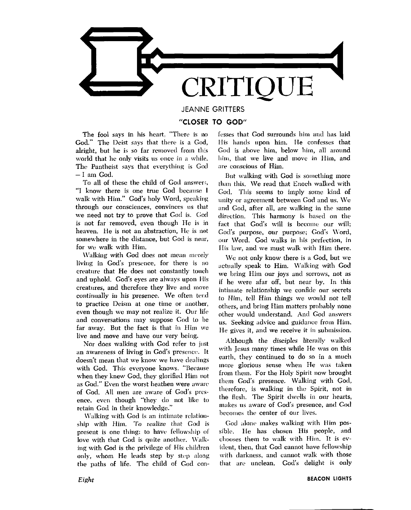

**JEANNE GRITTERS** 

#### "CLOSER TO GOD"

The fool says in his heart. "There is no God." The Deist says that there is a God, alright, but he is so far removed from this world that he only visits us once in a while. The Pantheist says that everything is God  $-1$  am God.

To all of these the child of God answers, "I know there is one true God because I walk with Him." God's holy Word, speaking through our consciences, convinces us that we need not try to prove that God is. God is not far removed, even though He is in heaven. He is not an abstraction, He is not somewhere in the distance, but God is near, for we walk with Him.

Walking with God does not mean merely living in God's presence, for there is no creature that He does not constantly touch and uphold. God's eyes are always upon His creatures, and therefore they live and move continually in his presence. We often tend to practice Deism at one time or another, even though we may not realize it. Our life and conversations may suppose God to be far away. But the fact is that in Him we live and move and have our very being.

Nor does walking with God refer to just an awareness of living in God's presence. It doesn't mean that we know we have dealings with God. This everyone knows. "Because when they knew God, they glorified Him not as God." Even the worst heathen were aware of God. All men are aware of God's presence, even though "they do not like to retain God in their knowledge.'

Walking with God is an intimate relationship with Him. To realize that God is present is one thing; to have fellowship of love with that God is quite another. Walking with God is the privilege of His children only, whom He leads step by step along the paths of life. The child of God confesses that God surrounds him and has laid His hands upon him. He confesses that God is above him, below him, all around him, that we live and move in Him, and are conscious of Him.

But walking with God is something more than this. We read that Enoch walked with God. This seems to imply some kind of unity or agreement between God and us. We and God, after all, are walking in the same direction. This harmony is based on the fact that God's will is become our will; God's purpose, our purpose; God's Word, our Word. God walks in his perfection, in His law, and we must walk with Him there.

We not only know there is a God, but we actually speak to Him. Walking with God we bring Him our joys and sorrows, not as if he were afar off, but near by. In this intimate relationship we confide our secrets to Him, tell Him things we would not tell others, and bring Him matters probably none other would understand. And God answers us. Seeking advice and guidance from Him, He gives it, and we receive it in submission.

Although the disciples literally walked with Jesus many times while He was on this earth, they continued to do so in a much more glorious sense when He was taken from them. For the Holy Spirit now brought them God's presence. Walking with God, therefore, is walking in the Spirit, not in the flesh. The Spirit dwells in our hearts, makes us aware of God's presence, and God becomes the center of our lives.

God alone makes walking with Him possible. He has chosen His people, and chooses them to walk with Him. It is evident, then, that God cannot have fellowship with darkness, and cannot walk with those that are unclean. God's delight is only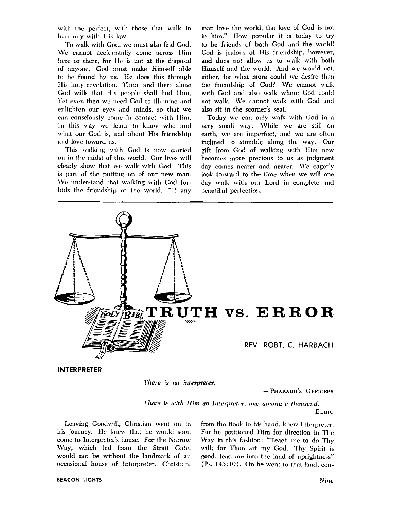with the perfect, with those that walk in harmony with His law.

To walk with God, we must also find God. We cannot accidentally come across Him here or there, for He is not at the disposal of anyone. God must make Himself able to be found by us. He does this through His holy revelation. There and there alone God wills that His people shall find Him. Yet even then we need God to illumine and enlighten our eyes and minds, so that we can consciously come in contact with Him. In this way we learn to know who and what our God is, and about His friendship and love toward us.

This walking with God is now carried on in the midst of this world. Our lives will clearly show that we walk with God. This is part of the putting on of our new man. We understand that walking with God forbids the friendship of the world. "If any man love the world, the love of God is not in him." How popular it is today to try to be friends of both God and the world! God is jealous of His friendship, however, and does not allow us to walk with both Himself and the world. And we would not, either, for what more could we desire than the friendship of God? We cannot walk with God and also walk where God could not walk. We cannot walk with God and also sit in the scorner's seat.

Today we can only walk with God in a very small way. While we are still on earth, we are imperfect, and we are often inclined to stumble along the way. Our gift from God of walking with Him now becomes more precious to us as judgment day comes nearer and nearer. We eagerly look forward to the time when we will one day walk with our Lord in complete and beautiful perfection.



There is no interpreter.

- PHARAOH'S OFFICERS

There is with Him an Interpreter, one among a thousand.

 $-EL<sub>HH</sub>$ 

Leaving Goodwill, Christian went on in his journey. He knew that he would soon come to Interpreter's house. For the Narrow Way, which led from the Strait Gate, would not be without the landmark of an occasional house of Interpreter. Christian, from the Book in his hand, knew Interpreter. For he petitioned Him for direction in The Way in this fashion: "Teach me to do Thy will; for Thou art my God. Thy Spirit is good; lead me into the land of uprightness" (Ps. 143:10). On he went to that land, con-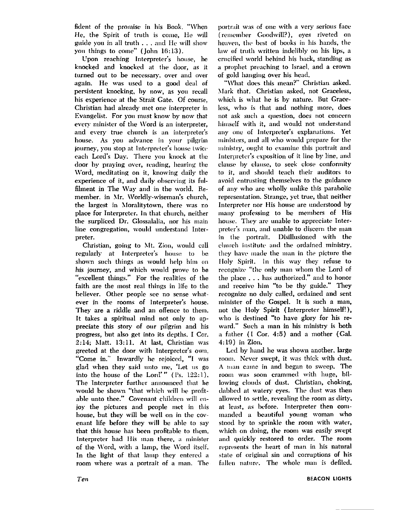fident of the promise in his Book. "When He, the Spirit of truth is come, He will guide you in all truth  $\ldots$  and He will show you things to come" (John 16:13).

Upon reaching Interpreter's house, he knocked and knocked at the door, as it turned out to be necessary, over and over again. He was used to a good deal of persistent knocking, by now, as you recall his experience at the Strait Gate. Of course, Christian had already met one interpreter in Evangelist. For you must know by now that every minister of the Word is an interpreter, and every true church is **nn** interpreter's house. As you advance in your pilgrim journey, you stop at Interpreter's house twice each Lord's Day. There you knock at the door by praying over, reading, hearing the Word, meditating on it, knowing daily the experience of it, and daily observing its fulfilment in The Way and in the world. Remember. in Mr. Worldly-wiseman's church, the largest in Moralitytown, there was no place for Interpreter. In that church, neither the surpliccd Dr. Glossalalia, nor his main line congregation, would understand Interpreter.

Christian, going to Mt. Zion, would call regularly at Interpreter's house to be shown such things as would help him on **his** journey, and which would prove to be "excellent things." For the realities of the faith are the most real things in life to the believer. Other people see no sense whatever in the rooms of Interpreter's house. They **are** a riddle and an offence to them. It takes a spiritual mind not only to appreciate this story of our pilgrim and his progress, but also get into its depths. I Cor. 2:14; Matt. 13:11. At last, Christian was greeted at the door with Interpreter's own, "Come in." Inwardly he rejoiced, "I was glad when they said unto me, 'Let us go into the house of the Lord' " (Ps. **122:** 1 ). The Interpreter further announced that he would be shown "that which will be profitable unto thee." Covenant children will enjoy the pictures and people met in this house, but they will be well on in the covenant life before they will be able to say that this house has been profitable to them. Interpreter had His man there, a minister of the Word, with a lamp, the Word itself. In the light of that lamp they entered a room where was a portrait of a man. The

portrait was of one with a very serious face (remember Goodwill?), eyes riveted on heaven, the best of books in his hands, the law of truth written indelibly on his lips, a crucified world behind his back, standing as a prophet preaching to Israel, and a crown of gold hanging over his head.

"What does this mean?" Christian asked. \lark that. Christian asked, not Graceless, which is what he is by nature. But Graceless, who is that and nothing more, does not ask such a question, does not concern himself with it, and would not understand any one of Intcrprctcr's explanations. Yet ministers, and all who would prepare for the ministry, ought to examine this portrait and Interpreter's exposition of it line by line, and clause by clause, to seek close conformity to it, and should teach their auditors to avoid entrusting themselves to the guidance of any who are wholly unlike this parabolic representation. Strange, yet true, that neither Interpreter nor His honsc are understood by many professing to be members of His house. They are unable to appreciate Interpreter's man, and unable to discern the man in the portrait. Disillusioned with thc clurch institute and the ordained ministry, they have made the man in the picture the Holy Spirit, In this way they refuse to recognize "the only man whom the Lord of the place . . . has authorized," and to honor and receive him "to be thy guide." They recognize no duly called, ordained and sent minister of the Gospel. It is such a man. not the Holy Spirit (Interpreter himself!). who is destined "to have glory for his reward." Such a man in **his** ministry is both a father (I Cor. 4:5) and a mother (Gal. **4:19)** in Zion.

Led by hand he was shown another, large room. Never swept, it was thick with dust. A man came in and began to sweep. The room was soon crammed with huge, billowing clouds of dust. Christian, choking, dabbed at watery eyes. The dust was then allowed to settle, revealing the room as dirty, at least, as before. Interpreter then commanded a beautiful young woman who stood hy to sprinkle the room with water, which on doing, the room was easily swept and quickly restored to order. The room represents the heart of man in his natural state of original sin and corruptions of his fallen nature. The whole man is defiled.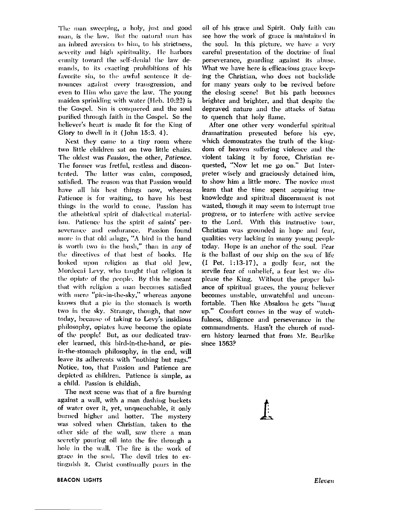The man sweeping, a holy, just and good man, is the law. But the natural man has an inbred aversion to him, to his strictness, severity and high spirituality. He harbors enmity toward the self-denial the law demands, to its exacting prohibitions of his favorite sin, to the awful sentence it denounces against every transgression, and even to Him who gave the law. The young maiden sprinkling with water (Heb. 10:22) is the Gospel. Sin is conquered and the soul purified through faith in the Gospel. So the believer's heart is made fit for the King of Glory to dwell in it (John  $15:3, 4$ ).

Next they came to a tiny room where two little children sat on two little chairs. The oldest was Passion, the other, Patience. The former was fretful, restless and discontented. The latter was calm, composed, satisfied. The reason was that Passion would have all his best things now, whereas Patience is for waiting, to have his best things in the world to come. Passion has the atheistical spirit of dialectical materialism. Patience has the spirit of saints' perseverance and endurance. Passion found more in that old adage, "A bird in the hand is worth two in the bush," than in any of the directives of that best of books. He looked upon religion as that old Jew, Mordecai Levy, who taught that religion is the opiate of the people. By this he meant that with religion a man becomes satisfied with mere "pie-in-the-sky," whereas anyone knows that a pie in the stomach is worth two in the sky. Strange, though, that now today, because of taking to Levy's insidious philosophy, opiates have become the opiate of the people! But, as our dedicated traveler learned, this bird-in-the-hand, or piein-the-stomach philosophy, in the end, will leave its adherents with "nothing but rags." Notice, too, that Passion and Patience are depicted as children. Patience is simple, as a child. Passion is childish.

The next scene was that of a fire burning against a wall, with a man dashing buckets of water over it, yet, unquenchable, it only burned higher and hotter. The mysterv was solved when Christian, taken to the other side of the wall, saw there a man secretly pouring oil into the fire through a hole in the wall. The fire is the work of grace in the soul. The devil tries to extinguish it. Christ continually pours in the

oil of his grace and Spirit. Only faith can see how the work of grace is maintained in the soul. In this picture, we have a very careful presentation of the doctrine of final perseverance, guarding against its abuse. What we have here is efficacious grace keeping the Christian, who does not backslide for many years only to be revived before the closing scene! But his path becomes brighter and brighter, and that despite the depraved nature and the attacks of Satan to quench that holy flame.

After one other very wonderful spiritual dramatization presented before his eye, which demonstrates the truth of the kingdom of heaven suffering violence and the violent taking it by force, Christian requested, "Now let me go on." But Interpreter wisely and graciously detained him, to show him a little more. The novice must learn that the time spent acquiring true knowledge and spiritual discernment is not wasted, though it may seem to interrupt true progress, or to interfere with active service to the Lord. With this instructive tour, Christian was grounded in hope and fear, qualities very lacking in many young people today. Hope is an anchor of the soul. Fear is the ballast of our ship on the sea of life  $(I$  Pet. 1:13-17), a godly fear, not the servile fear of unbelief, a fear lest we displease the King. Without the proper balance of spiritual graces, the young believer becomes unstable, unwatchful and uncomfortable. Then like Absalom he gets "hung up." Comfort comes in the way of watchfulness, diligence and perseverance in the commandments. Hasn't the church of modern history learned that from Mr. Bearlike since 1563?

I.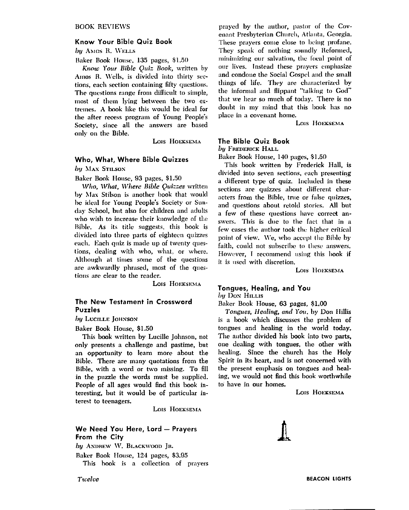#### **Know Your Bible Quiz Book**

 $bu$  Amos R. WELLS

Baker Book House, 135 pages, \$1.50

Know Your Bible Quiz Book, written by Amos R. Wells, is divided into thirty sections, each section containing fifty questions. The questions range from difficult to simple, most of them lying between the two extremes. A book like this would be ideal for the after recess program of Young People's Society, since all the answers are based only on thc Bib!e.

LOIS **HOEKSEMA** 

#### **Who, What, Where Bible Quizzes**

by MAX STILSON

Baker Book House, 93 pages, \$1.50

 $Who, What, Where Bible Quizzes written$ I)y **Alas** Stilson is another book that would be ideal for Young People's Society or Sunday School, but also for children and adults who wish to increase their knowledge of the Bible. As its title suggests, this book is divided into three parts of eighteen quizzes each. Each quiz is made up of twenty questions, dealing with who, what, or where. Although at times some of the questions arc awkwardly phrased, most of the questions are clear to the reader.

LOIS HOEKSEMA

#### **The New Testament in Crossword Puzzles**

**by LUCILLE JOHNSON** 

Baker Book Housc, **\$1.50** 

This book written by Lucille Johnson, not only presents a challenge and pastime, but an opportunity to learn more about the Bible. There are niany quotations from the Bible, with a word or two missing. To fill in the puzzle the words must be supplied. People of all ages would find this book interesting, but it would be of particular interest to teenagers.

LOIS HOEKSEMA

#### **We Need You Here, Lord - Prayers From the City**

by ANDREW W. BLACKWOOD JR.

Bakcr Rook House, 121 pages, \$3.95 This hook is a collection of prayers prayed by the author, pastor of the Covenant Presbyterian Church, Atlanta, Georgia. These prayers come close to being profane. They speak of nothing soundly Reformed, minimizing our salvation, the focal point of our lives. Instead these prayers emphasize and condone the Social Gospel and the small things of life. They are characterized by the informal and flippant "talking to God" that we hear so much of today. There is no do111)t in my niind that this \look **has** no place in a covenant home.

LOIS HOEKSEMA

#### **The Bible Quiz Book**

*by* Frederick Hall

Baker Book House, 140 pages, \$1.50

This book written by Frederick Hall, is divided into seven sections, each presenting a different type of quiz. Included in these sections are quizzes about different characters from the Bible, true or false quizzes, and questions about retold stories. All but a few of these questions have correct answers. This is due to the fact that in a few cases the author took the higher critical point of view. We, who accept the Bible by faith, could not subscribe to these answers. However, I recommend using this book if it is used with discretion.

LOIS HOEKSEMA

#### **Tongues, Healing, and You**  *by* Don Hillis

Bakcr Book House, 63 pages, \$1.00

*Toryues,* IleuIing, **cmd** You. I)y Don Ilillis is **n** book which discusses the problem of tongues and healing in the world today. The anthor divided his book into two parts, one dealing **with** tongues, thc other with healing. Since the church has the Holy Spirit in its heart, and is not concerned with the present emphasis on tongues and healing, we would not find this book worthwhile to have in our homes.

LOIS HOEKSEMA

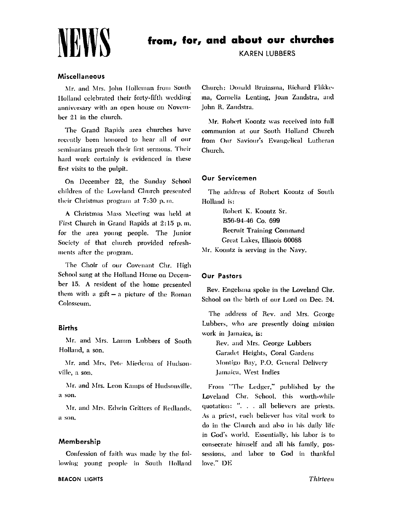

### from, for, and about our churches

**KAREN LUBBERS** 

#### Miscellaneous

Mr. and Mrs. John Holleman from South Holland celebrated their forty-fifth wedding anniversary with an open house on November 21 in the church.

The Grand Rapids area churches have recently been honored to hear all of our seminarians preach their first sermons. Their hard work certainly is evidenced in these first visits to the pulpit.

On December 22, the Sunday School children of the Loveland Church presented their Christmas program at 7:30 p.m.

A Christmas Mass Meeting was held at First Church in Grand Rapids at 2:15 p.m. for the area young people. The Junior Society of that church provided refreshments after the program.

The Choir of our Covenant Chr. High School sang at the Holland Home on December 15. A resident of the home presented them with a gift  $-$  a picture of the Roman Colosseum.

#### **Births**

Mr. and Mrs. Lamm Lubbers of South Holland, a son.

Mr. and Mrs. Pete Miedema of Hudsonville, a son.

Mr. and Mrs. Leon Kamps of Hudsonville, a son.

Mr. and Mrs. Edwin Gritters of Redlands, a son,

#### Membership

Confession of faith was made by the following young people in South Holland Church: Donald Bruinsma, Richard Flikkema, Cornelia Lenting, Joan Zandstra, and John R. Zandstra.

Mr. Robert Koontz was received into full communion at our South Holland Church from Our Saviour's Evangelical Lutheran Church.

#### **Our Servicemen**

The address of Robert Koontz of South Holland is:

Robert K. Koontz Sr. B56-94-46 Co. 699 **Recruit Training Command** Great Lakes, Illinois 60088

Mr. Koontz is serving in the Navy.

#### **Our Pastors**

Rev. Engelsma spoke in the Loveland Chr. School on the birth of our Lord on Dec. 24.

The address of Rev. and Mrs. George Lubbers, who are presently doing mission work in Jamaica, is:

Rev. and Mrs. George Lubbers Garadet Heights, Coral Gardens Montigo Bay, P.O. General Delivery Jamaica, West Indies

From "The Ledger," published by the Loveland Chr. School, this worth-while quotation: ". . . all believers are priests. As a priest, each believer has vital work to do in the Church and also in his daily life in God's world. Essentially, his labor is to consecrate himself and all his family, possessions, and labor to God in thankful love." DE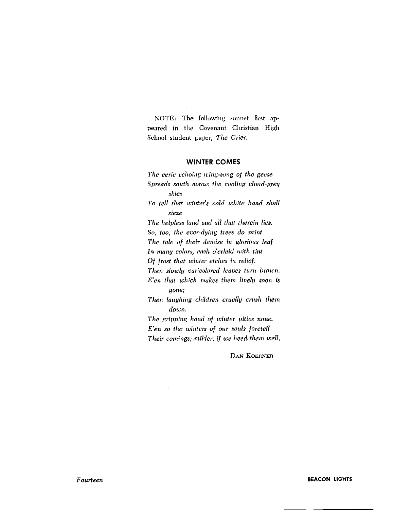NOTE: The following sonnet first appeared in the Covenant Christian High School student paper, The Crier.

#### **WINTER COMES**

The eerie echoing wing-song of the geese Spreads south across the cooling cloud-grey skies To tell that winter's cold white hand shall sieze The helpless land and all that therein lies. So, too, the ever-dying trees do print The tale of their demise in glorious leaf In many colors, each o'erlaid with tint Of frost that winter etches in relief. Then slowly varicolored leaves turn brown. E'en that which makes them lively soon is gone; Then laughing children cruelly crush them down. The gripping hand of winter pities none. E'en so the winters of our souls foretell Their comings; milder, if we heed them well.

DAN KOERNER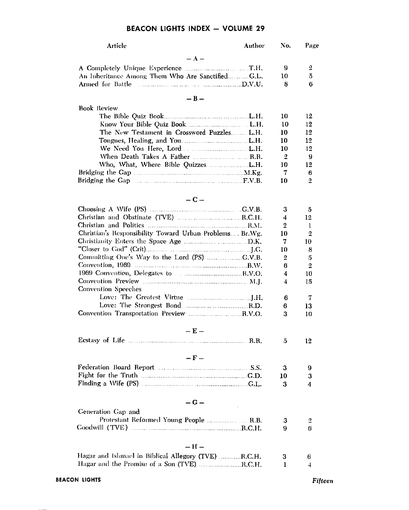#### **BEACON LIGHTS INDEX - VOLUME 29**

| Article                                                 | Author | No.    | Page     |
|---------------------------------------------------------|--------|--------|----------|
| $- A -$                                                 |        |        |          |
|                                                         |        | 9      | 2        |
| An Inheritance Among Them Who Are SanctifiedG.L.        |        | 10     | 5        |
| Armed for Battle                                        |        | 8      | 6        |
| $-B-$                                                   |        |        |          |
| <b>Book Review</b>                                      |        |        |          |
|                                                         |        | 10     | 12       |
|                                                         |        | 10     | 12       |
| The New Testament in Crossword Puzzles L.H.             |        | 10     | 12       |
|                                                         |        | 10     | 12       |
|                                                         |        | 10     | 12       |
|                                                         |        | 2      | 9        |
|                                                         |        | 10     | 12       |
|                                                         |        | 7      | 6        |
|                                                         |        | 10     | 2        |
|                                                         |        |        |          |
| $-C-$                                                   |        |        |          |
|                                                         |        | з      | 5        |
|                                                         |        | 4      | 12.      |
|                                                         |        | 2      | 1        |
| Christian's Responsibility Toward Urban Problems Br.Wg. |        | 10     | 2        |
|                                                         |        | 7      | 10       |
|                                                         |        | 10     | 8        |
|                                                         |        | 2<br>в | 5        |
| 1969 Convention, Delegates to manufacturers R.V.O.      |        | 4      | 2        |
|                                                         |        | 4      | 10<br>15 |
| Convention Speeches                                     |        |        |          |
|                                                         |        | 6      | 7        |
|                                                         |        | 6      | 13       |
|                                                         |        | 3      | 10       |
| $-E -$                                                  |        |        |          |
|                                                         |        | 5      | 12       |
|                                                         |        |        |          |
| $- F -$                                                 |        |        |          |
|                                                         |        | 3      | 9        |
|                                                         |        | 10     | 3        |
|                                                         |        | 3      | 4        |
| $-G -$                                                  |        |        |          |
| Generation Gap and                                      |        |        |          |
|                                                         |        | 3      |          |
|                                                         |        | 9      | 2<br>6   |
|                                                         |        |        |          |
| $- H -$                                                 |        |        |          |
| Hagar and Islimael in Biblical Allegory (TVE) R.C.H.    |        | з      | 6        |
| Hagar and the Promise of a Son (TVE) R.C.H.             |        | 1      | 4        |
|                                                         |        |        |          |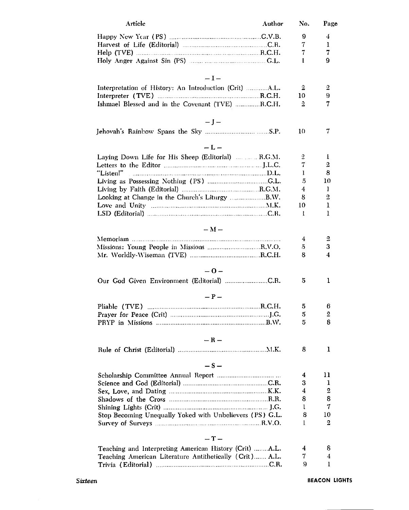| Article                                                  | Author | No.            | Page |
|----------------------------------------------------------|--------|----------------|------|
|                                                          |        | 9              | 4    |
|                                                          |        | 7              | 1    |
|                                                          |        | 7              | 7    |
|                                                          |        | 1              | 9    |
| $-I-$                                                    |        |                |      |
| Interpretation of History: An Introduction (Crit) A.L.   |        | 2              | 2    |
|                                                          |        | 10             | 9    |
| Ishmael Blessed and in the Covenant (TVE) R.C.H.         |        | $\overline{2}$ | 7    |
| $-1-$                                                    |        |                |      |
|                                                          |        | 10             | 7    |
| $-L-$                                                    |        |                |      |
| Laying Down Life for His Sheep (Editorial)    R.G.M.     |        | 2              | 1    |
|                                                          |        | 7              | 2    |
| "Listen!"                                                |        | 1              | 8    |
|                                                          |        | 5              | 10   |
|                                                          |        | 4              | 1    |
|                                                          |        | 8              | 2    |
|                                                          |        | 10             | ı    |
|                                                          |        | 1              | 1    |
|                                                          |        |                |      |
| $-M -$                                                   |        |                |      |
|                                                          |        | 4              | 2    |
| Missions: Young People in Missions R.V.O.                |        | 5              | 3    |
|                                                          |        | 8              | 4    |
| -0-                                                      |        |                |      |
| Our God Given Environment (Editorial) C.R.               |        | 5              | 1    |
| $- P -$                                                  |        |                |      |
|                                                          |        | 5              | 6    |
|                                                          |        | 5              | 2    |
|                                                          |        | 5              | 8    |
|                                                          |        |                |      |
| $-R -$                                                   |        |                |      |
|                                                          |        | 8              | 1    |
| $-S-$                                                    |        |                |      |
|                                                          |        | 4              | 11   |
|                                                          |        | 3              | ı    |
|                                                          |        | 4              | 2    |
|                                                          |        | 8              | 8    |
|                                                          |        | 1              | 7    |
| Stop Becoming Unequally Yoked with Unbelievers (PS) G.L. |        | 8              | 10   |
|                                                          |        | 1              | 2    |
| $-T-$                                                    |        |                |      |
| Teaching and Interpreting American History (Crit) A.L.   |        | 4              | 8    |
| Teaching American Literature Antithetically (Crit) A.L.  |        | 7              | 4    |
|                                                          |        | 9              | 1    |
|                                                          |        |                |      |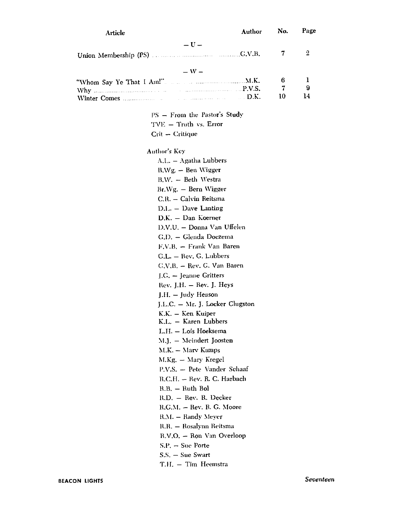| Article      | Author                               | No.    | Page   |
|--------------|--------------------------------------|--------|--------|
|              | $-\mathbf{U}$ –                      |        |        |
|              |                                      | 7      | 2      |
|              |                                      |        |        |
|              | $- W -$                              |        |        |
|              |                                      | 6<br>7 | ı<br>9 |
|              |                                      | 10     | 14     |
|              |                                      |        |        |
|              | PS - From the Pastor's Study         |        |        |
|              | TVE - Truth vs. Error                |        |        |
|              | Crit - Critique                      |        |        |
| Author's Key |                                      |        |        |
|              | A.L. - Agatha Lubbers                |        |        |
|              | $B.Wg. - Ben Wigger$                 |        |        |
|              | B.W. - Beth Westra                   |        |        |
|              | Br.Wg. - Bern Wigger                 |        |        |
|              | C.R. - Calvin Reitsma                |        |        |
|              | D.L. - Dave Lanting                  |        |        |
|              | D.K. - Dan Koerner                   |        |        |
|              | D.V.U. - Donna Van Uffelen           |        |        |
|              | G.D. - Glenda Doezema                |        |        |
|              | F.V.B. - Frank Van Baren             |        |        |
|              | G.L. - Rev. G. Lubbers               |        |        |
|              | $C.V.B. - Rev. G. Van Baren$         |        |        |
|              | $\Gamma$ , $G$ . $-$ Jeanne Gritters |        |        |
|              | Rev. J.H. $-$ Rev. J. Heys           |        |        |
|              | J.H. - Judy Henson                   |        |        |
|              | J.L.C. – Mr. J. Locker Clugston      |        |        |
|              | K.K. – Ken Kuiper                    |        |        |
|              | K.L. - Karen Lubbers                 |        |        |
|              | L.H. - Lois Hoeksema                 |        |        |
|              | M.J. - Meindert Joosten              |        |        |
|              | M.K. - Mary Kamps                    |        |        |
|              | M.Kg. - Mary Kregel                  |        |        |
|              | P.V.S. - Pete Vander Schaaf          |        |        |
|              | R.C.H. - Rev. R. C. Harbach          |        |        |
|              | $R.B. - Ruth Bol$                    |        |        |
|              | R.D. - Rev. R. Decker                |        |        |
|              | R.G.M. - Rev. R. G. Moore            |        |        |
|              | R.M. - Randy Meyer                   |        |        |
|              | R.R. – Rosalynn Reitsma              |        |        |
|              | R.V.O. - Ron Van Overloop            |        |        |
|              | $S.P. - Sue Porte$                   |        |        |
|              | S.S. – Sue Swart                     |        |        |
|              | T.H. - Tim Heemstra                  |        |        |